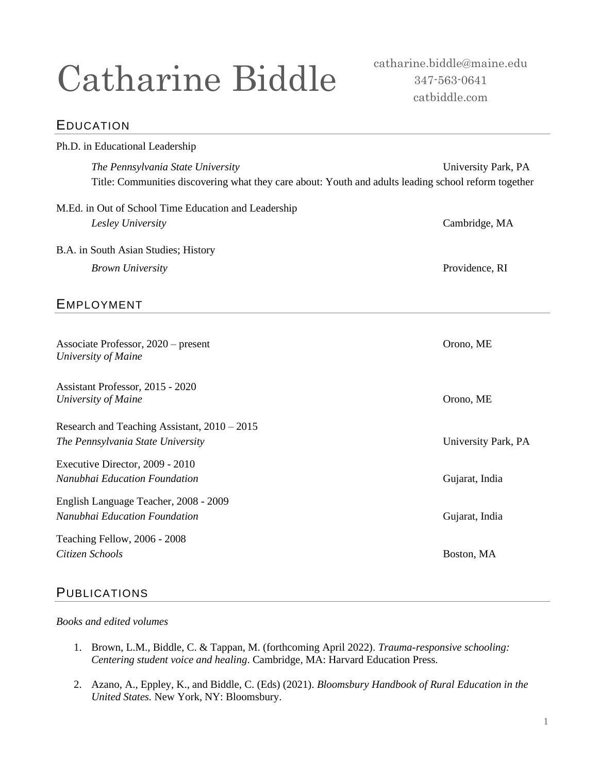# Catharine Biddle

catharine.biddle@maine.edu 347-563-0641 catbiddle.com

## EDUCATION

| Ph.D. in Educational Leadership                                                                                                           |                     |
|-------------------------------------------------------------------------------------------------------------------------------------------|---------------------|
| The Pennsylvania State University<br>Title: Communities discovering what they care about: Youth and adults leading school reform together | University Park, PA |
| M.Ed. in Out of School Time Education and Leadership                                                                                      |                     |
| Lesley University                                                                                                                         | Cambridge, MA       |
| B.A. in South Asian Studies; History                                                                                                      |                     |
| <b>Brown University</b>                                                                                                                   | Providence, RI      |
| <b>EMPLOYMENT</b>                                                                                                                         |                     |
| Associate Professor, 2020 – present<br>University of Maine                                                                                | Orono, ME           |
| Assistant Professor, 2015 - 2020<br>University of Maine                                                                                   | Orono, ME           |
| Research and Teaching Assistant, $2010 - 2015$<br>The Pennsylvania State University                                                       | University Park, PA |
| Executive Director, 2009 - 2010<br>Nanubhai Education Foundation                                                                          | Gujarat, India      |
| English Language Teacher, 2008 - 2009<br>Nanubhai Education Foundation                                                                    | Gujarat, India      |
| Teaching Fellow, 2006 - 2008<br>Citizen Schools                                                                                           | Boston, MA          |

## **PUBLICATIONS**

#### *Books and edited volumes*

- 1. Brown, L.M., Biddle, C. & Tappan, M. (forthcoming April 2022). *Trauma-responsive schooling: Centering student voice and healing*. Cambridge, MA: Harvard Education Press.
- 2. Azano, A., Eppley, K., and Biddle, C. (Eds) (2021). *Bloomsbury Handbook of Rural Education in the United States.* New York, NY: Bloomsbury.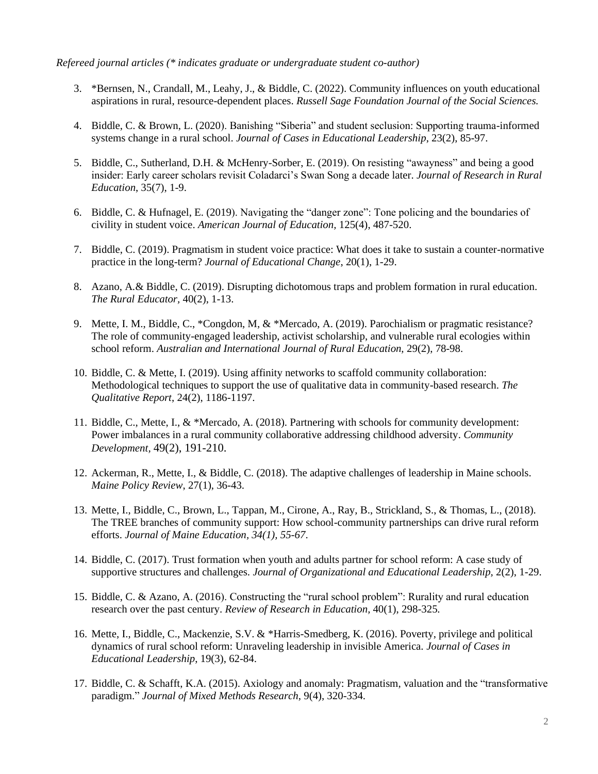*Refereed journal articles (\* indicates graduate or undergraduate student co-author)*

- 3. \*Bernsen, N., Crandall, M., Leahy, J., & Biddle, C. (2022). Community influences on youth educational aspirations in rural, resource-dependent places. *Russell Sage Foundation Journal of the Social Sciences.*
- 4. Biddle, C. & Brown, L. (2020). Banishing "Siberia" and student seclusion: Supporting trauma-informed systems change in a rural school. *Journal of Cases in Educational Leadership*, 23(2), 85-97.
- 5. Biddle, C., Sutherland, D.H. & McHenry-Sorber, E. (2019). On resisting "awayness" and being a good insider: Early career scholars revisit Coladarci's Swan Song a decade later. *Journal of Research in Rural Education*, 35(7), 1-9.
- 6. Biddle, C. & Hufnagel, E. (2019). Navigating the "danger zone": Tone policing and the boundaries of civility in student voice. *American Journal of Education,* 125(4), 487-520.
- 7. Biddle, C. (2019). Pragmatism in student voice practice: What does it take to sustain a counter-normative practice in the long-term? *Journal of Educational Change*, 20(1), 1-29.
- 8. Azano, A*.*& Biddle, C. (2019). Disrupting dichotomous traps and problem formation in rural education. *The Rural Educator,* 40(2), 1-13.
- 9. Mette, I. M., Biddle, C., \*Congdon, M, & \*Mercado, A. (2019). Parochialism or pragmatic resistance? The role of community-engaged leadership, activist scholarship, and vulnerable rural ecologies within school reform. *Australian and International Journal of Rural Education,* 29(2), 78-98.
- 10. Biddle, C. & Mette, I. (2019). Using affinity networks to scaffold community collaboration: Methodological techniques to support the use of qualitative data in community-based research. *The Qualitative Report*, 24(2), 1186-1197.
- 11. Biddle, C., Mette, I., & \*Mercado, A. (2018). Partnering with schools for community development: Power imbalances in a rural community collaborative addressing childhood adversity. *Community Development,* 49(2), 191-210.
- 12. Ackerman, R., Mette, I., & Biddle, C. (2018). The adaptive challenges of leadership in Maine schools. *Maine Policy Review*, 27(1), 36-43.
- 13. Mette, I., Biddle, C., Brown, L., Tappan, M., Cirone, A., Ray, B., Strickland, S., & Thomas, L., (2018). The TREE branches of community support: How school-community partnerships can drive rural reform efforts. *Journal of Maine Education, 34(1), 55-67*.
- 14. Biddle, C. (2017). Trust formation when youth and adults partner for school reform: A case study of supportive structures and challenges. *Journal of Organizational and Educational Leadership,* 2(2), 1-29.
- 15. Biddle, C. & Azano, A. (2016). Constructing the "rural school problem": Rurality and rural education research over the past century. *Review of Research in Education,* 40(1), 298-325*.*
- 16. Mette, I., Biddle, C., Mackenzie, S.V. & \*Harris-Smedberg, K. (2016). Poverty, privilege and political dynamics of rural school reform: Unraveling leadership in invisible America. *Journal of Cases in Educational Leadership*, 19(3), 62-84.
- 17. Biddle, C. & Schafft, K.A. (2015). Axiology and anomaly: Pragmatism, valuation and the "transformative paradigm." *Journal of Mixed Methods Research*, 9(4), 320-334.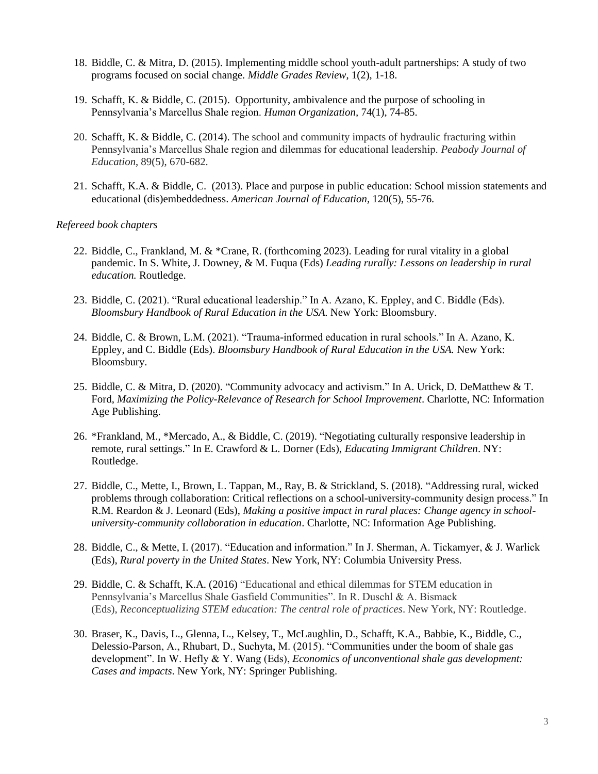- 18. Biddle, C. & Mitra, D. (2015). Implementing middle school youth-adult partnerships: A study of two programs focused on social change. *Middle Grades Review*, 1(2), 1-18.
- 19. Schafft, K. & Biddle, C. (2015). Opportunity, ambivalence and the purpose of schooling in Pennsylvania's Marcellus Shale region. *Human Organization,* 74(1), 74-85.
- 20. Schafft, K. & Biddle, C. (2014). The school and community impacts of hydraulic fracturing within Pennsylvania's Marcellus Shale region and dilemmas for educational leadership. *Peabody Journal of Education*, 89(5), 670-682.
- 21. Schafft, K.A. & Biddle, C. (2013). Place and purpose in public education: School mission statements and educational (dis)embeddedness. *American Journal of Education,* 120(5), 55-76.

#### *Refereed book chapters*

- 22. Biddle, C., Frankland, M. & \*Crane, R. (forthcoming 2023). Leading for rural vitality in a global pandemic. In S. White, J. Downey, & M. Fuqua (Eds) *Leading rurally: Lessons on leadership in rural education.* Routledge.
- 23. Biddle, C. (2021). "Rural educational leadership." In A. Azano, K. Eppley, and C. Biddle (Eds). *Bloomsbury Handbook of Rural Education in the USA.* New York: Bloomsbury.
- 24. Biddle, C. & Brown, L.M. (2021). "Trauma-informed education in rural schools." In A. Azano, K. Eppley, and C. Biddle (Eds). *Bloomsbury Handbook of Rural Education in the USA.* New York: Bloomsbury.
- 25. Biddle, C. & Mitra, D. (2020). "Community advocacy and activism." In A. Urick, D. DeMatthew & T. Ford, *Maximizing the Policy-Relevance of Research for School Improvement*. Charlotte, NC: Information Age Publishing.
- 26. \*Frankland, M., \*Mercado, A., & Biddle, C. (2019). "Negotiating culturally responsive leadership in remote, rural settings." In E. Crawford & L. Dorner (Eds), *Educating Immigrant Children*. NY: Routledge.
- 27. Biddle, C., Mette, I., Brown, L. Tappan, M., Ray, B. & Strickland, S. (2018). "Addressing rural, wicked problems through collaboration: Critical reflections on a school-university-community design process." In R.M. Reardon & J. Leonard (Eds), *Making a positive impact in rural places: Change agency in schooluniversity-community collaboration in education*. Charlotte, NC: Information Age Publishing.
- 28. Biddle, C., & Mette, I. (2017). "Education and information." In J. Sherman, A. Tickamyer, & J. Warlick (Eds), *Rural poverty in the United States*. New York, NY: Columbia University Press.
- 29. Biddle, C. & Schafft, K.A. (2016) "Educational and ethical dilemmas for STEM education in Pennsylvania's Marcellus Shale Gasfield Communities". In R. Duschl & A. Bismack (Eds), *Reconceptualizing STEM education: The central role of practices*. New York, NY: Routledge.
- 30. Braser, K., Davis, L., Glenna, L., Kelsey, T., McLaughlin, D., Schafft, K.A., Babbie, K., Biddle, C., Delessio-Parson, A., Rhubart, D., Suchyta, M. (2015). "Communities under the boom of shale gas development". In W. Hefly & Y. Wang (Eds), *Economics of unconventional shale gas development: Cases and impacts*. New York, NY: Springer Publishing.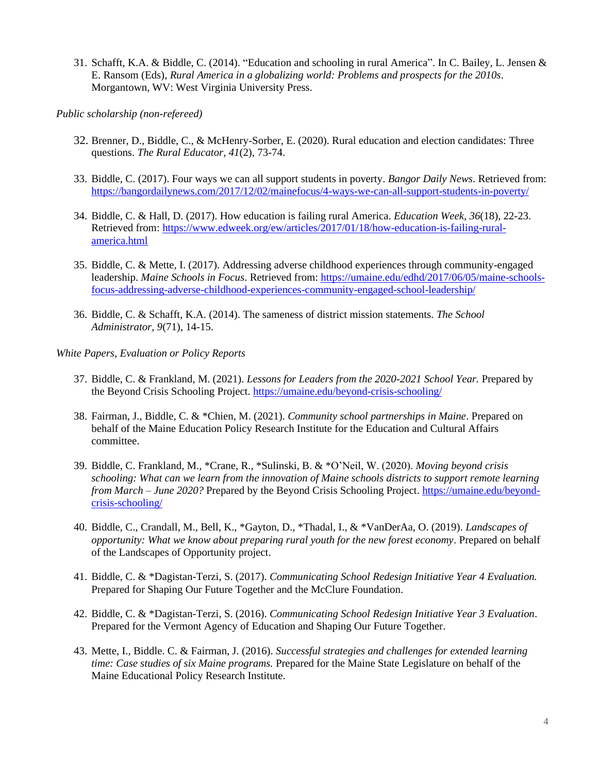31. Schafft, K.A. & Biddle, C. (2014). "Education and schooling in rural America". In C. Bailey, L. Jensen & E. Ransom (Eds), *Rural America in a globalizing world: Problems and prospects for the 2010s*. Morgantown, WV: West Virginia University Press.

*Public scholarship (non-refereed)*

- 32. Brenner, D., Biddle, C., & McHenry-Sorber, E. (2020). Rural education and election candidates: Three questions. *The Rural Educator, 41*(2), 73-74.
- 33. Biddle, C. (2017). Four ways we can all support students in poverty. *Bangor Daily News*. Retrieved from: <https://bangordailynews.com/2017/12/02/mainefocus/4-ways-we-can-all-support-students-in-poverty/>
- 34. Biddle, C. & Hall, D. (2017). How education is failing rural America. *Education Week*, *36*(18), 22-23. Retrieved from: [https://www.edweek.org/ew/articles/2017/01/18/how-education-is-failing-rural](https://www.edweek.org/ew/articles/2017/01/18/how-education-is-failing-rural-america.html)[america.html](https://www.edweek.org/ew/articles/2017/01/18/how-education-is-failing-rural-america.html)
- 35. Biddle, C. & Mette, I. (2017). Addressing adverse childhood experiences through community-engaged leadership. *Maine Schools in Focus*. Retrieved from: [https://umaine.edu/edhd/2017/06/05/maine-schools](https://umaine.edu/edhd/2017/06/05/maine-schools-focus-addressing-adverse-childhood-experiences-community-engaged-school-leadership/)[focus-addressing-adverse-childhood-experiences-community-engaged-school-leadership/](https://umaine.edu/edhd/2017/06/05/maine-schools-focus-addressing-adverse-childhood-experiences-community-engaged-school-leadership/)
- 36. Biddle, C. & Schafft, K.A. (2014). The sameness of district mission statements. *The School Administrator, 9*(71), 14-15.

*White Papers, Evaluation or Policy Reports*

- 37. Biddle, C. & Frankland, M. (2021). *Lessons for Leaders from the 2020-2021 School Year.* Prepared by the Beyond Crisis Schooling Project.<https://umaine.edu/beyond-crisis-schooling/>
- 38. Fairman, J., Biddle, C. & \*Chien, M. (2021). *Community school partnerships in Maine*. Prepared on behalf of the Maine Education Policy Research Institute for the Education and Cultural Affairs committee.
- 39. Biddle, C. Frankland, M., \*Crane, R., \*Sulinski, B. & \*O'Neil, W. (2020). *Moving beyond crisis schooling: What can we learn from the innovation of Maine schools districts to support remote learning from March – June 2020?* Prepared by the Beyond Crisis Schooling Project. [https://umaine.edu/beyond](https://umaine.edu/beyond-crisis-schooling/)[crisis-schooling/](https://umaine.edu/beyond-crisis-schooling/)
- 40. Biddle, C., Crandall, M., Bell, K., \*Gayton, D., \*Thadal, I., & \*VanDerAa, O. (2019). *Landscapes of opportunity: What we know about preparing rural youth for the new forest economy*. Prepared on behalf of the Landscapes of Opportunity project.
- 41. Biddle, C. & \*Dagistan-Terzi, S. (2017). *Communicating School Redesign Initiative Year 4 Evaluation.* Prepared for Shaping Our Future Together and the McClure Foundation.
- 42. Biddle, C. & \*Dagistan-Terzi, S. (2016). *Communicating School Redesign Initiative Year 3 Evaluation*. Prepared for the Vermont Agency of Education and Shaping Our Future Together.
- 43. Mette, I., Biddle. C. & Fairman, J. (2016). *Successful strategies and challenges for extended learning time: Case studies of six Maine programs.* Prepared for the Maine State Legislature on behalf of the Maine Educational Policy Research Institute.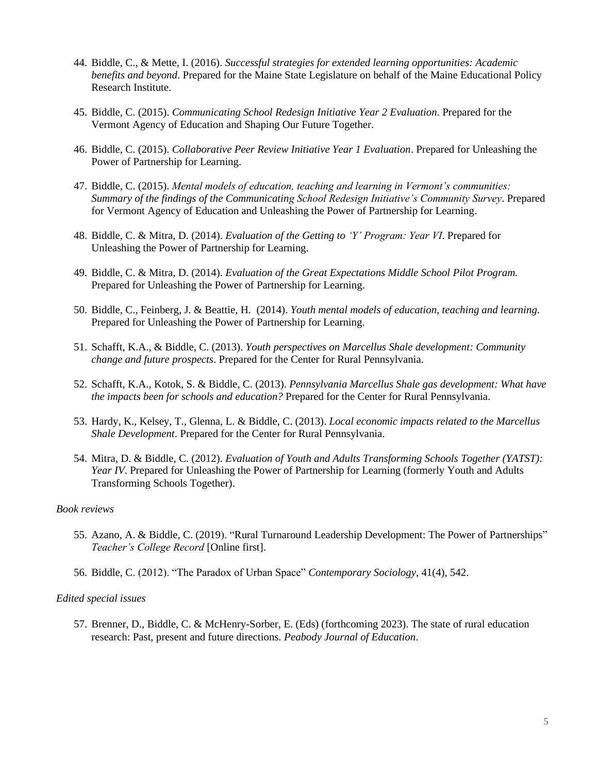- 44. Biddle, C., & Mette, I. (2016). *Successful strategies for extended learning opportunities: Academic benefits and beyond*. Prepared for the Maine State Legislature on behalf of the Maine Educational Policy Research Institute.
- 45. Biddle, C. (2015). *Communicating School Redesign Initiative Year 2 Evaluation*. Prepared for the Vermont Agency of Education and Shaping Our Future Together.
- 46. Biddle, C. (2015). *Collaborative Peer Review Initiative Year 1 Evaluation*. Prepared for Unleashing the Power of Partnership for Learning.
- 47. Biddle, C. (2015). *Mental models of education, teaching and learning in Vermont's communities: Summary of the findings of the Communicating School Redesign Initiative's Community Survey*. Prepared for Vermont Agency of Education and Unleashing the Power of Partnership for Learning.
- 48. Biddle, C. & Mitra, D. (2014). *Evaluation of the Getting to 'Y' Program: Year VI*. Prepared for Unleashing the Power of Partnership for Learning.
- 49. Biddle, C. & Mitra, D. (2014). *Evaluation of the Great Expectations Middle School Pilot Program.* Prepared for Unleashing the Power of Partnership for Learning.
- 50. Biddle, C., Feinberg, J. & Beattie, H. (2014). *Youth mental models of education, teaching and learning*. Prepared for Unleashing the Power of Partnership for Learning.
- 51. Schafft, K.A., & Biddle, C. (2013). *Youth perspectives on Marcellus Shale development: Community change and future prospects*. Prepared for the Center for Rural Pennsylvania.
- 52. Schafft, K.A., Kotok, S. & Biddle, C. (2013). *Pennsylvania Marcellus Shale gas development: What have the impacts been for schools and education?* Prepared for the Center for Rural Pennsylvania.
- 53. Hardy, K., Kelsey, T., Glenna, L. & Biddle, C. (2013). *Local economic impacts related to the Marcellus Shale Development*. Prepared for the Center for Rural Pennsylvania.
- 54. Mitra, D. & Biddle, C. (2012). *Evaluation of Youth and Adults Transforming Schools Together (YATST): Year IV*. Prepared for Unleashing the Power of Partnership for Learning (formerly Youth and Adults Transforming Schools Together).

#### *Book reviews*

- 55. Azano, A. & Biddle, C. (2019). "Rural Turnaround Leadership Development: The Power of Partnerships" *Teacher's College Record* [Online first].
- 56. Biddle, C. (2012). "The Paradox of Urban Space" *Contemporary Sociology*, 41(4), 542.

#### *Edited special issues*

57. Brenner, D., Biddle, C. & McHenry-Sorber, E. (Eds) (forthcoming 2023). The state of rural education research: Past, present and future directions. *Peabody Journal of Education*.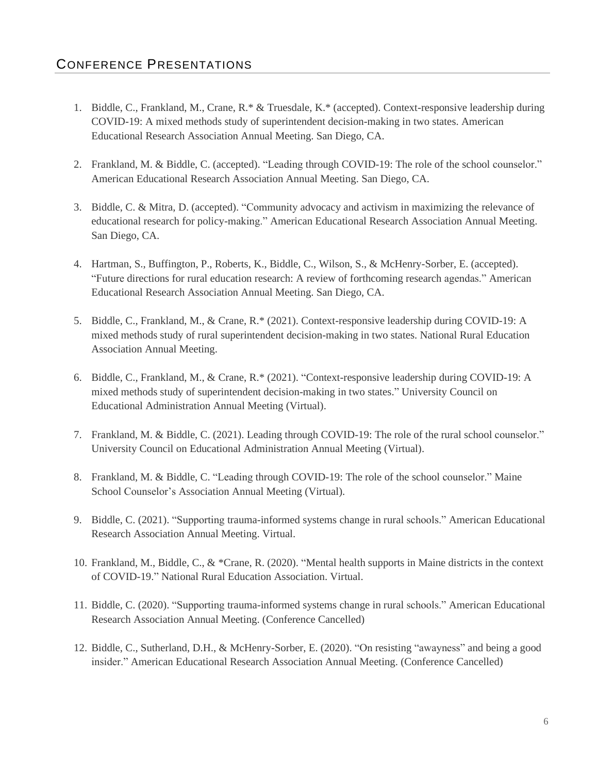- 1. Biddle, C., Frankland, M., Crane, R.\* & Truesdale, K.\* (accepted). Context-responsive leadership during COVID-19: A mixed methods study of superintendent decision-making in two states. American Educational Research Association Annual Meeting. San Diego, CA.
- 2. Frankland, M. & Biddle, C. (accepted). "Leading through COVID-19: The role of the school counselor." American Educational Research Association Annual Meeting. San Diego, CA.
- 3. Biddle, C. & Mitra, D. (accepted). "Community advocacy and activism in maximizing the relevance of educational research for policy-making." American Educational Research Association Annual Meeting. San Diego, CA.
- 4. Hartman, S., Buffington, P., Roberts, K., Biddle, C., Wilson, S., & McHenry-Sorber, E. (accepted). "Future directions for rural education research: A review of forthcoming research agendas." American Educational Research Association Annual Meeting. San Diego, CA.
- 5. Biddle, C., Frankland, M., & Crane, R.\* (2021). Context-responsive leadership during COVID-19: A mixed methods study of rural superintendent decision-making in two states. National Rural Education Association Annual Meeting.
- 6. Biddle, C., Frankland, M., & Crane, R.\* (2021). "Context-responsive leadership during COVID-19: A mixed methods study of superintendent decision-making in two states." University Council on Educational Administration Annual Meeting (Virtual).
- 7. Frankland, M. & Biddle, C. (2021). Leading through COVID-19: The role of the rural school counselor." University Council on Educational Administration Annual Meeting (Virtual).
- 8. Frankland, M. & Biddle, C. "Leading through COVID-19: The role of the school counselor." Maine School Counselor's Association Annual Meeting (Virtual).
- 9. Biddle, C. (2021). "Supporting trauma-informed systems change in rural schools." American Educational Research Association Annual Meeting. Virtual.
- 10. Frankland, M., Biddle, C., & \*Crane, R. (2020). "Mental health supports in Maine districts in the context of COVID-19." National Rural Education Association. Virtual.
- 11. Biddle, C. (2020). "Supporting trauma-informed systems change in rural schools." American Educational Research Association Annual Meeting. (Conference Cancelled)
- 12. Biddle, C., Sutherland, D.H., & McHenry-Sorber, E. (2020). "On resisting "awayness" and being a good insider." American Educational Research Association Annual Meeting. (Conference Cancelled)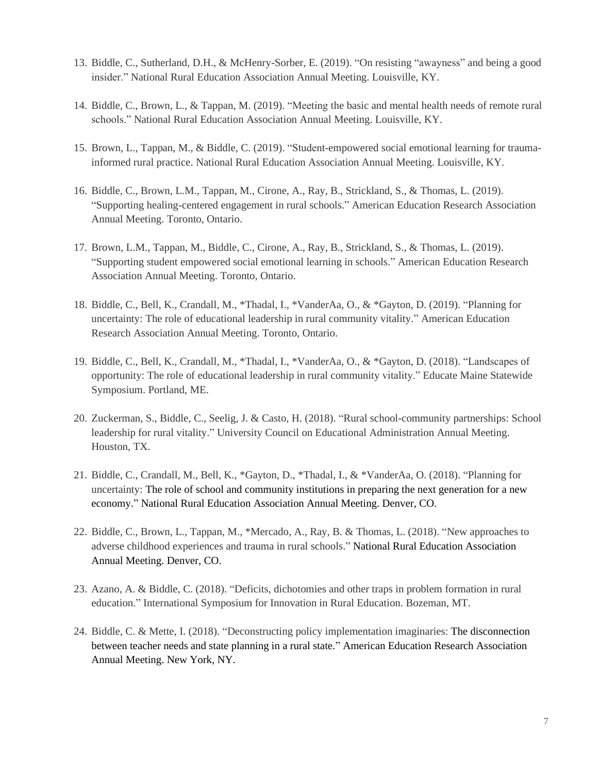- 13. Biddle, C., Sutherland, D.H., & McHenry-Sorber, E. (2019). "On resisting "awayness" and being a good insider." National Rural Education Association Annual Meeting. Louisville, KY.
- 14. Biddle, C., Brown, L., & Tappan, M. (2019). "Meeting the basic and mental health needs of remote rural schools." National Rural Education Association Annual Meeting. Louisville, KY.
- 15. Brown, L., Tappan, M., & Biddle, C. (2019). "Student-empowered social emotional learning for traumainformed rural practice. National Rural Education Association Annual Meeting. Louisville, KY.
- 16. Biddle, C., Brown, L.M., Tappan, M., Cirone, A., Ray, B., Strickland, S., & Thomas, L. (2019). "Supporting healing-centered engagement in rural schools." American Education Research Association Annual Meeting. Toronto, Ontario.
- 17. Brown, L.M., Tappan, M., Biddle, C., Cirone, A., Ray, B., Strickland, S., & Thomas, L. (2019). "Supporting student empowered social emotional learning in schools." American Education Research Association Annual Meeting. Toronto, Ontario.
- 18. Biddle, C., Bell, K., Crandall, M., \*Thadal, I., \*VanderAa, O., & \*Gayton, D. (2019). "Planning for uncertainty: The role of educational leadership in rural community vitality." American Education Research Association Annual Meeting. Toronto, Ontario.
- 19. Biddle, C., Bell, K., Crandall, M., \*Thadal, I., \*VanderAa, O., & \*Gayton, D. (2018). "Landscapes of opportunity: The role of educational leadership in rural community vitality." Educate Maine Statewide Symposium. Portland, ME.
- 20. Zuckerman, S., Biddle, C., Seelig, J. & Casto, H. (2018). "Rural school-community partnerships: School leadership for rural vitality." University Council on Educational Administration Annual Meeting. Houston, TX.
- 21. Biddle, C., Crandall, M., Bell, K., \*Gayton, D., \*Thadal, I., & \*VanderAa, O. (2018). "Planning for uncertainty: The role of school and community institutions in preparing the next generation for a new economy." National Rural Education Association Annual Meeting. Denver, CO.
- 22. Biddle, C., Brown, L., Tappan, M., \*Mercado, A., Ray, B. & Thomas, L. (2018). "New approaches to adverse childhood experiences and trauma in rural schools." National Rural Education Association Annual Meeting. Denver, CO.
- 23. Azano, A. & Biddle, C. (2018). "Deficits, dichotomies and other traps in problem formation in rural education." International Symposium for Innovation in Rural Education. Bozeman, MT.
- 24. Biddle, C. & Mette, I. (2018). "Deconstructing policy implementation imaginaries: The disconnection between teacher needs and state planning in a rural state." American Education Research Association Annual Meeting. New York, NY.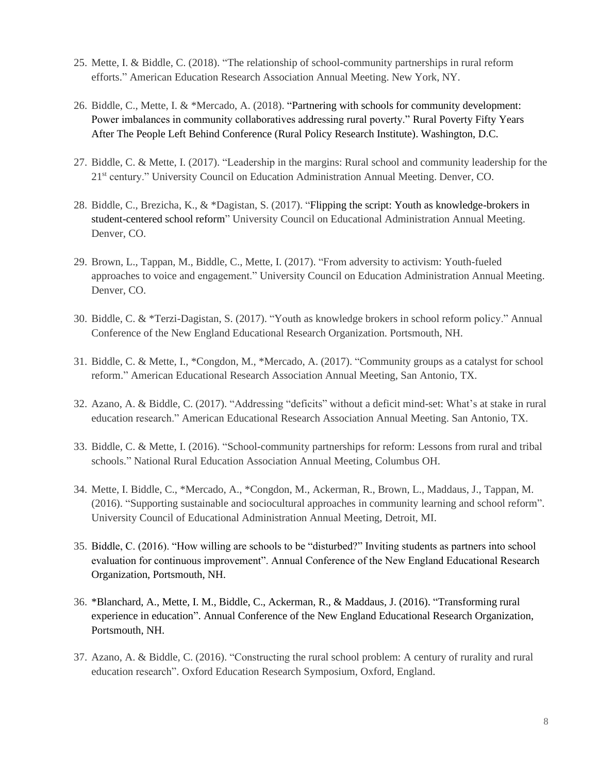- 25. Mette, I. & Biddle, C. (2018). "The relationship of school-community partnerships in rural reform efforts." American Education Research Association Annual Meeting. New York, NY.
- 26. Biddle, C., Mette, I. & \*Mercado, A. (2018). "Partnering with schools for community development: Power imbalances in community collaboratives addressing rural poverty." Rural Poverty Fifty Years After The People Left Behind Conference (Rural Policy Research Institute). Washington, D.C.
- 27. Biddle, C. & Mette, I. (2017). "Leadership in the margins: Rural school and community leadership for the 21st century." University Council on Education Administration Annual Meeting. Denver, CO.
- 28. Biddle, C., Brezicha, K., & \*Dagistan, S. (2017). "Flipping the script: Youth as knowledge-brokers in student-centered school reform" University Council on Educational Administration Annual Meeting. Denver, CO.
- 29. Brown, L., Tappan, M., Biddle, C., Mette, I. (2017). "From adversity to activism: Youth-fueled approaches to voice and engagement." University Council on Education Administration Annual Meeting. Denver, CO.
- 30. Biddle, C. & \*Terzi-Dagistan, S. (2017). "Youth as knowledge brokers in school reform policy." Annual Conference of the New England Educational Research Organization. Portsmouth, NH.
- 31. Biddle, C. & Mette, I., \*Congdon, M., \*Mercado, A. (2017). "Community groups as a catalyst for school reform." American Educational Research Association Annual Meeting, San Antonio, TX.
- 32. Azano, A. & Biddle, C. (2017). "Addressing "deficits" without a deficit mind-set: What's at stake in rural education research." American Educational Research Association Annual Meeting. San Antonio, TX.
- 33. Biddle, C. & Mette, I. (2016). "School-community partnerships for reform: Lessons from rural and tribal schools." National Rural Education Association Annual Meeting, Columbus OH.
- 34. Mette, I. Biddle, C., \*Mercado, A., \*Congdon, M., Ackerman, R., Brown, L., Maddaus, J., Tappan, M. (2016). "Supporting sustainable and sociocultural approaches in community learning and school reform". University Council of Educational Administration Annual Meeting, Detroit, MI.
- 35. Biddle, C. (2016). "How willing are schools to be "disturbed?" Inviting students as partners into school evaluation for continuous improvement". Annual Conference of the New England Educational Research Organization, Portsmouth, NH.
- 36. \*Blanchard, A., Mette, I. M., Biddle, C., Ackerman, R., & Maddaus, J. (2016). "Transforming rural experience in education". Annual Conference of the New England Educational Research Organization, Portsmouth, NH.
- 37. Azano, A. & Biddle, C. (2016). "Constructing the rural school problem: A century of rurality and rural education research". Oxford Education Research Symposium, Oxford, England.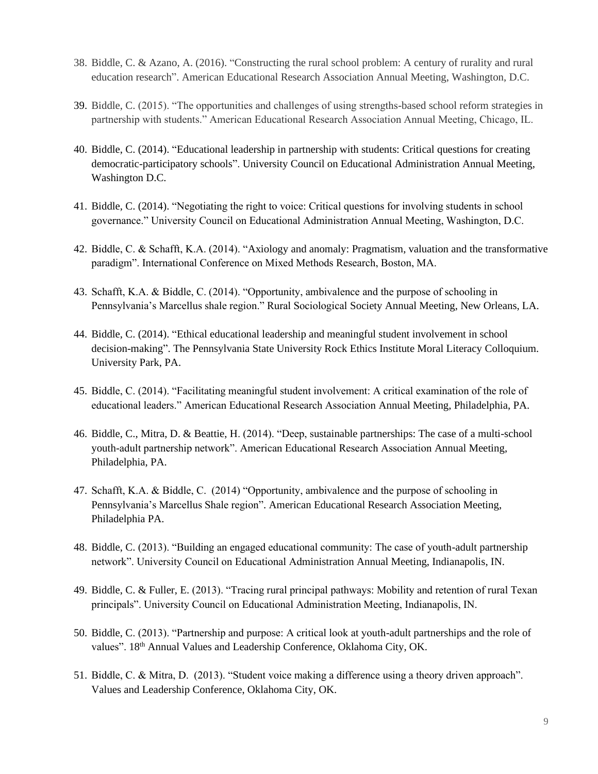- 38. Biddle, C. & Azano, A. (2016). "Constructing the rural school problem: A century of rurality and rural education research". American Educational Research Association Annual Meeting, Washington, D.C.
- 39. Biddle, C. (2015). "The opportunities and challenges of using strengths-based school reform strategies in partnership with students." American Educational Research Association Annual Meeting, Chicago, IL.
- 40. Biddle, C. (2014). "Educational leadership in partnership with students: Critical questions for creating democratic-participatory schools". University Council on Educational Administration Annual Meeting, Washington D.C.
- 41. Biddle, C. (2014). "Negotiating the right to voice: Critical questions for involving students in school governance." University Council on Educational Administration Annual Meeting, Washington, D.C.
- 42. Biddle, C. & Schafft, K.A. (2014). "Axiology and anomaly: Pragmatism, valuation and the transformative paradigm". International Conference on Mixed Methods Research, Boston, MA.
- 43. Schafft, K.A. & Biddle, C. (2014). "Opportunity, ambivalence and the purpose of schooling in Pennsylvania's Marcellus shale region." Rural Sociological Society Annual Meeting, New Orleans, LA.
- 44. Biddle, C. (2014). "Ethical educational leadership and meaningful student involvement in school decision-making". The Pennsylvania State University Rock Ethics Institute Moral Literacy Colloquium. University Park, PA.
- 45. Biddle, C. (2014). "Facilitating meaningful student involvement: A critical examination of the role of educational leaders." American Educational Research Association Annual Meeting, Philadelphia, PA.
- 46. Biddle, C., Mitra, D. & Beattie, H. (2014). "Deep, sustainable partnerships: The case of a multi-school youth-adult partnership network". American Educational Research Association Annual Meeting, Philadelphia, PA.
- 47. Schafft, K.A. & Biddle, C. (2014) "Opportunity, ambivalence and the purpose of schooling in Pennsylvania's Marcellus Shale region". American Educational Research Association Meeting, Philadelphia PA.
- 48. Biddle, C. (2013). "Building an engaged educational community: The case of youth-adult partnership network". University Council on Educational Administration Annual Meeting, Indianapolis, IN.
- 49. Biddle, C. & Fuller, E. (2013). "Tracing rural principal pathways: Mobility and retention of rural Texan principals". University Council on Educational Administration Meeting, Indianapolis, IN.
- 50. Biddle, C. (2013). "Partnership and purpose: A critical look at youth-adult partnerships and the role of values". 18<sup>th</sup> Annual Values and Leadership Conference, Oklahoma City, OK.
- 51. Biddle, C. & Mitra, D. (2013). "Student voice making a difference using a theory driven approach". Values and Leadership Conference, Oklahoma City, OK.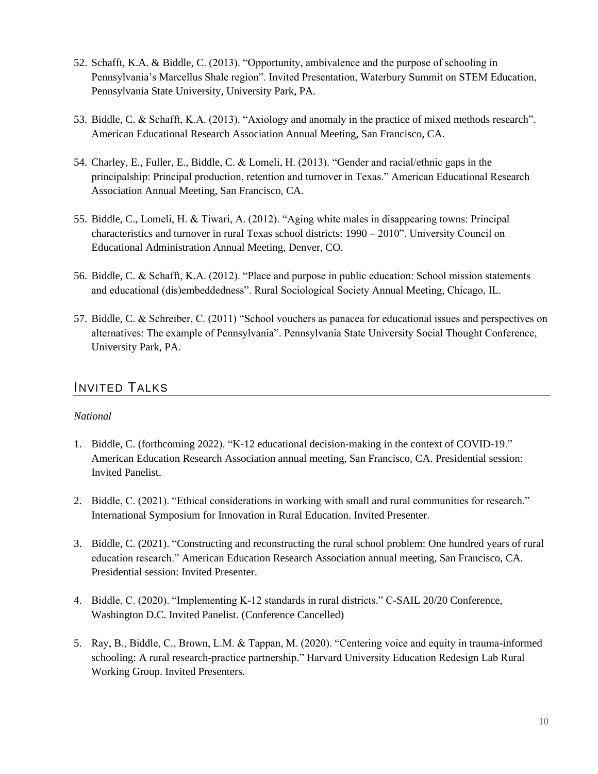- 52. Schafft, K.A. & Biddle, C. (2013). "Opportunity, ambivalence and the purpose of schooling in Pennsylvania's Marcellus Shale region". Invited Presentation, Waterbury Summit on STEM Education, Pennsylvania State University, University Park, PA.
- 53. Biddle, C. & Schafft, K.A. (2013). "Axiology and anomaly in the practice of mixed methods research". American Educational Research Association Annual Meeting, San Francisco, CA.
- 54. Charley, E., Fuller, E., Biddle, C. & Lomeli, H. (2013). "Gender and racial/ethnic gaps in the principalship: Principal production, retention and turnover in Texas." American Educational Research Association Annual Meeting, San Francisco, CA.
- 55. Biddle, C., Lomeli, H. & Tiwari, A. (2012). "Aging white males in disappearing towns: Principal characteristics and turnover in rural Texas school districts: 1990 – 2010". University Council on Educational Administration Annual Meeting, Denver, CO.
- 56. Biddle, C. & Schafft, K.A. (2012). "Place and purpose in public education: School mission statements and educational (dis)embeddedness". Rural Sociological Society Annual Meeting, Chicago, IL.
- 57. Biddle, C. & Schreiber, C. (2011) "School vouchers as panacea for educational issues and perspectives on alternatives: The example of Pennsylvania". Pennsylvania State University Social Thought Conference, University Park, PA.

# INVITED TALKS

## *National*

- 1. Biddle, C. (forthcoming 2022). "K-12 educational decision-making in the context of COVID-19." American Education Research Association annual meeting, San Francisco, CA. Presidential session: Invited Panelist.
- 2. Biddle, C. (2021). "Ethical considerations in working with small and rural communities for research." International Symposium for Innovation in Rural Education. Invited Presenter.
- 3. Biddle, C. (2021). "Constructing and reconstructing the rural school problem: One hundred years of rural education research." American Education Research Association annual meeting, San Francisco, CA. Presidential session: Invited Presenter.
- 4. Biddle, C. (2020). "Implementing K-12 standards in rural districts." C-SAIL 20/20 Conference, Washington D.C. Invited Panelist. (Conference Cancelled)
- 5. Ray, B., Biddle, C., Brown, L.M. & Tappan, M. (2020). "Centering voice and equity in trauma-informed schooling: A rural research-practice partnership." Harvard University Education Redesign Lab Rural Working Group. Invited Presenters.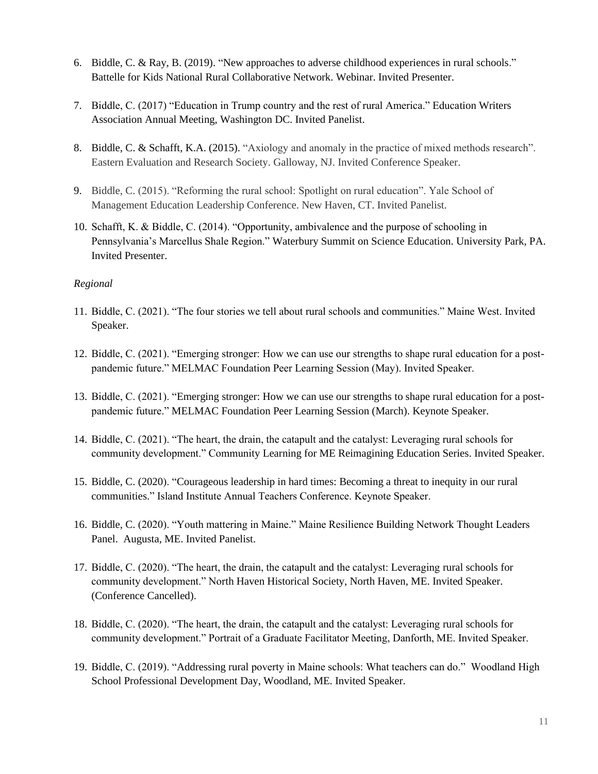- 6. Biddle, C. & Ray, B. (2019). "New approaches to adverse childhood experiences in rural schools." Battelle for Kids National Rural Collaborative Network. Webinar. Invited Presenter.
- 7. Biddle, C. (2017) "Education in Trump country and the rest of rural America." Education Writers Association Annual Meeting, Washington DC. Invited Panelist.
- 8. Biddle, C. & Schafft, K.A. (2015). "Axiology and anomaly in the practice of mixed methods research". Eastern Evaluation and Research Society. Galloway, NJ. Invited Conference Speaker.
- 9. Biddle, C. (2015). "Reforming the rural school: Spotlight on rural education". Yale School of Management Education Leadership Conference. New Haven, CT. Invited Panelist.
- 10. Schafft, K. & Biddle, C. (2014). "Opportunity, ambivalence and the purpose of schooling in Pennsylvania's Marcellus Shale Region." Waterbury Summit on Science Education. University Park, PA. Invited Presenter.

#### *Regional*

- 11. Biddle, C. (2021). "The four stories we tell about rural schools and communities." Maine West. Invited Speaker.
- 12. Biddle, C. (2021). "Emerging stronger: How we can use our strengths to shape rural education for a postpandemic future." MELMAC Foundation Peer Learning Session (May). Invited Speaker.
- 13. Biddle, C. (2021). "Emerging stronger: How we can use our strengths to shape rural education for a postpandemic future." MELMAC Foundation Peer Learning Session (March). Keynote Speaker.
- 14. Biddle, C. (2021). "The heart, the drain, the catapult and the catalyst: Leveraging rural schools for community development." Community Learning for ME Reimagining Education Series. Invited Speaker.
- 15. Biddle, C. (2020). "Courageous leadership in hard times: Becoming a threat to inequity in our rural communities." Island Institute Annual Teachers Conference. Keynote Speaker.
- 16. Biddle, C. (2020). "Youth mattering in Maine." Maine Resilience Building Network Thought Leaders Panel. Augusta, ME. Invited Panelist.
- 17. Biddle, C. (2020). "The heart, the drain, the catapult and the catalyst: Leveraging rural schools for community development." North Haven Historical Society, North Haven, ME. Invited Speaker. (Conference Cancelled).
- 18. Biddle, C. (2020). "The heart, the drain, the catapult and the catalyst: Leveraging rural schools for community development." Portrait of a Graduate Facilitator Meeting, Danforth, ME. Invited Speaker.
- 19. Biddle, C. (2019). "Addressing rural poverty in Maine schools: What teachers can do." Woodland High School Professional Development Day, Woodland, ME. Invited Speaker.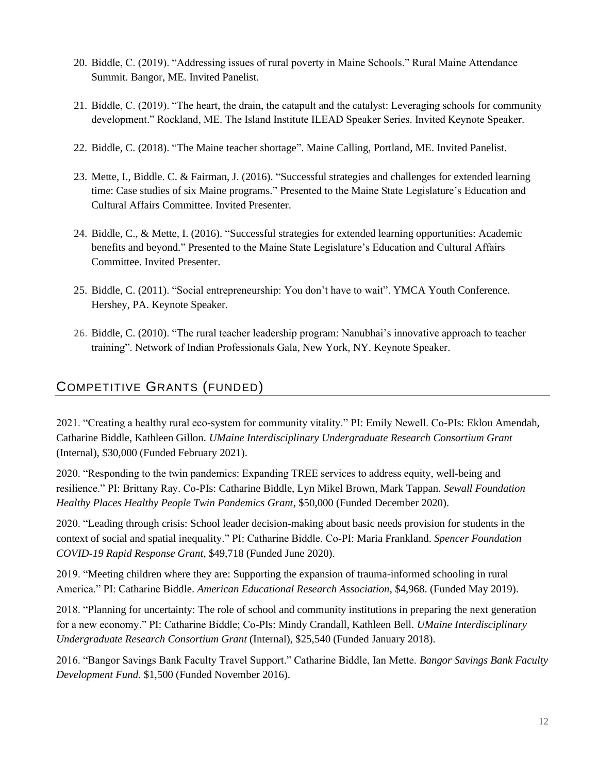- 20. Biddle, C. (2019). "Addressing issues of rural poverty in Maine Schools." Rural Maine Attendance Summit. Bangor, ME. Invited Panelist.
- 21. Biddle, C. (2019). "The heart, the drain, the catapult and the catalyst: Leveraging schools for community development." Rockland, ME. The Island Institute ILEAD Speaker Series. Invited Keynote Speaker.
- 22. Biddle, C. (2018). "The Maine teacher shortage". Maine Calling, Portland, ME. Invited Panelist.
- 23. Mette, I., Biddle. C. & Fairman, J. (2016). "Successful strategies and challenges for extended learning time: Case studies of six Maine programs." Presented to the Maine State Legislature's Education and Cultural Affairs Committee. Invited Presenter.
- 24. Biddle, C., & Mette, I. (2016). "Successful strategies for extended learning opportunities: Academic benefits and beyond." Presented to the Maine State Legislature's Education and Cultural Affairs Committee. Invited Presenter.
- 25. Biddle, C. (2011). "Social entrepreneurship: You don't have to wait". YMCA Youth Conference. Hershey, PA. Keynote Speaker.
- 26. Biddle, C. (2010). "The rural teacher leadership program: Nanubhai's innovative approach to teacher training". Network of Indian Professionals Gala, New York, NY. Keynote Speaker.

# COMPETITIVE GRANTS (FUNDED)

2021. "Creating a healthy rural eco-system for community vitality." PI: Emily Newell. Co-PIs: Eklou Amendah, Catharine Biddle, Kathleen Gillon. *UMaine Interdisciplinary Undergraduate Research Consortium Grant* (Internal), \$30,000 (Funded February 2021).

2020. "Responding to the twin pandemics: Expanding TREE services to address equity, well-being and resilience." PI: Brittany Ray. Co-PIs: Catharine Biddle, Lyn Mikel Brown, Mark Tappan. *Sewall Foundation Healthy Places Healthy People Twin Pandemics Grant*, \$50,000 (Funded December 2020).

2020. "Leading through crisis: School leader decision-making about basic needs provision for students in the context of social and spatial inequality." PI: Catharine Biddle. Co-PI: Maria Frankland. *Spencer Foundation COVID-19 Rapid Response Grant,* \$49,718 (Funded June 2020).

2019. "Meeting children where they are: Supporting the expansion of trauma-informed schooling in rural America." PI: Catharine Biddle. *American Educational Research Association*, \$4,968. (Funded May 2019).

2018. "Planning for uncertainty: The role of school and community institutions in preparing the next generation for a new economy." PI: Catharine Biddle; Co-PIs: Mindy Crandall, Kathleen Bell. *UMaine Interdisciplinary Undergraduate Research Consortium Grant* (Internal), \$25,540 (Funded January 2018).

2016. "Bangor Savings Bank Faculty Travel Support." Catharine Biddle, Ian Mette. *Bangor Savings Bank Faculty Development Fund.* \$1,500 (Funded November 2016).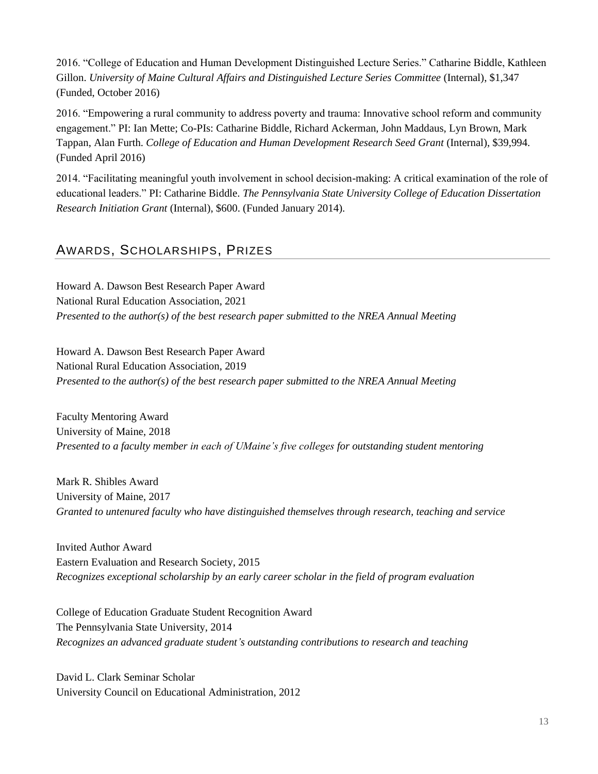2016. "College of Education and Human Development Distinguished Lecture Series." Catharine Biddle, Kathleen Gillon. *University of Maine Cultural Affairs and Distinguished Lecture Series Committee* (Internal), \$1,347 (Funded, October 2016)

2016. "Empowering a rural community to address poverty and trauma: Innovative school reform and community engagement." PI: Ian Mette; Co-PIs: Catharine Biddle, Richard Ackerman, John Maddaus, Lyn Brown, Mark Tappan, Alan Furth. *College of Education and Human Development Research Seed Grant* (Internal), \$39,994. (Funded April 2016)

2014. "Facilitating meaningful youth involvement in school decision-making: A critical examination of the role of educational leaders." PI: Catharine Biddle. *The Pennsylvania State University College of Education Dissertation Research Initiation Grant* (Internal), \$600. (Funded January 2014).

# AWARDS, SCHOLARSHIPS, PRIZES

Howard A. Dawson Best Research Paper Award National Rural Education Association, 2021 *Presented to the author(s) of the best research paper submitted to the NREA Annual Meeting*

Howard A. Dawson Best Research Paper Award National Rural Education Association, 2019 *Presented to the author(s) of the best research paper submitted to the NREA Annual Meeting*

Faculty Mentoring Award University of Maine, 2018 *Presented to a faculty member in each of UMaine's five colleges for outstanding student mentoring*

Mark R. Shibles Award University of Maine, 2017 *Granted to untenured faculty who have distinguished themselves through research, teaching and service*

Invited Author Award Eastern Evaluation and Research Society, 2015 *Recognizes exceptional scholarship by an early career scholar in the field of program evaluation*

College of Education Graduate Student Recognition Award The Pennsylvania State University, 2014 *Recognizes an advanced graduate student's outstanding contributions to research and teaching*

David L. Clark Seminar Scholar University Council on Educational Administration, 2012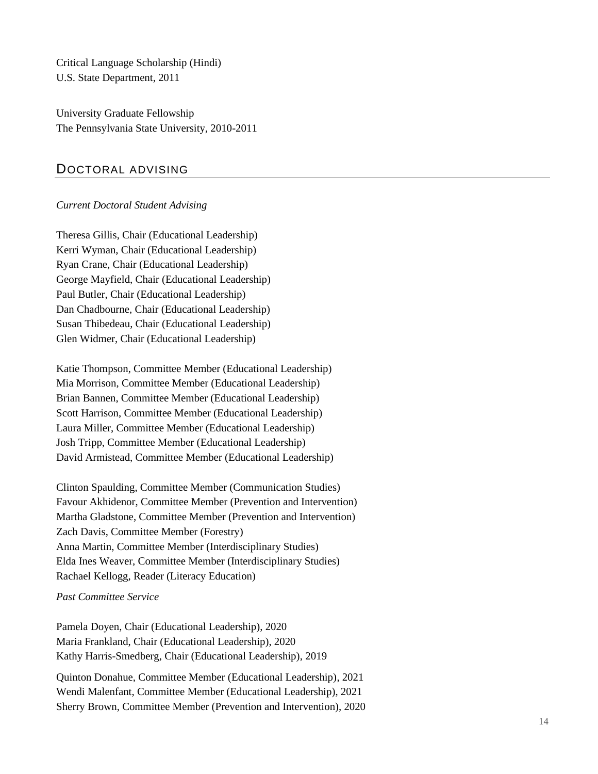Critical Language Scholarship (Hindi) U.S. State Department, 2011

University Graduate Fellowship The Pennsylvania State University, 2010-2011

## DOCTORAL ADVISING

#### *Current Doctoral Student Advising*

Theresa Gillis, Chair (Educational Leadership) Kerri Wyman, Chair (Educational Leadership) Ryan Crane, Chair (Educational Leadership) George Mayfield, Chair (Educational Leadership) Paul Butler, Chair (Educational Leadership) Dan Chadbourne, Chair (Educational Leadership) Susan Thibedeau, Chair (Educational Leadership) Glen Widmer, Chair (Educational Leadership)

Katie Thompson, Committee Member (Educational Leadership) Mia Morrison, Committee Member (Educational Leadership) Brian Bannen, Committee Member (Educational Leadership) Scott Harrison, Committee Member (Educational Leadership) Laura Miller, Committee Member (Educational Leadership) Josh Tripp, Committee Member (Educational Leadership) David Armistead, Committee Member (Educational Leadership)

Clinton Spaulding, Committee Member (Communication Studies) Favour Akhidenor, Committee Member (Prevention and Intervention) Martha Gladstone, Committee Member (Prevention and Intervention) Zach Davis, Committee Member (Forestry) Anna Martin, Committee Member (Interdisciplinary Studies) Elda Ines Weaver, Committee Member (Interdisciplinary Studies) Rachael Kellogg, Reader (Literacy Education)

#### *Past Committee Service*

Pamela Doyen, Chair (Educational Leadership), 2020 Maria Frankland, Chair (Educational Leadership), 2020 Kathy Harris-Smedberg, Chair (Educational Leadership), 2019

Quinton Donahue, Committee Member (Educational Leadership), 2021 Wendi Malenfant, Committee Member (Educational Leadership), 2021 Sherry Brown, Committee Member (Prevention and Intervention), 2020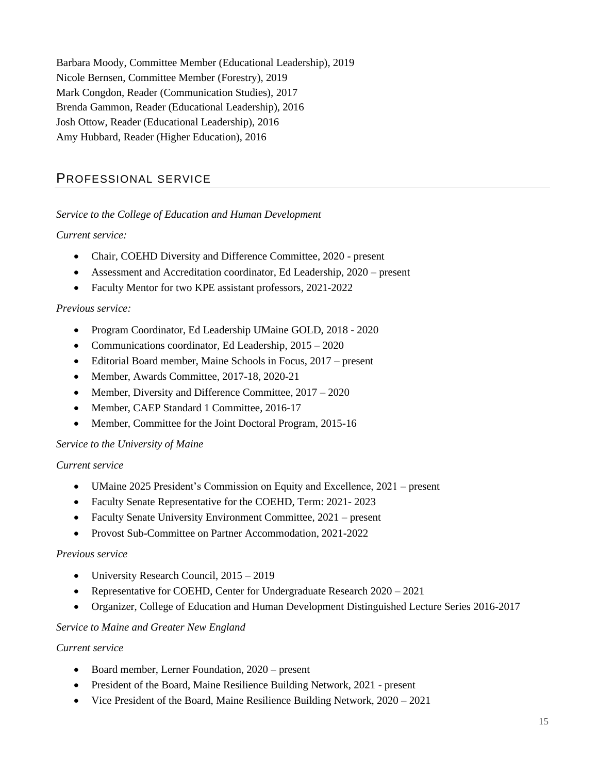Barbara Moody, Committee Member (Educational Leadership), 2019 Nicole Bernsen, Committee Member (Forestry), 2019 Mark Congdon, Reader (Communication Studies), 2017 Brenda Gammon, Reader (Educational Leadership), 2016 Josh Ottow, Reader (Educational Leadership), 2016 Amy Hubbard, Reader (Higher Education), 2016

## PROFESSIONAL SERVICE

#### *Service to the College of Education and Human Development*

#### *Current service:*

- Chair, COEHD Diversity and Difference Committee, 2020 present
- Assessment and Accreditation coordinator, Ed Leadership, 2020 present
- Faculty Mentor for two KPE assistant professors, 2021-2022

#### *Previous service:*

- Program Coordinator, Ed Leadership UMaine GOLD, 2018 2020
- Communications coordinator, Ed Leadership,  $2015 2020$
- Editorial Board member, Maine Schools in Focus, 2017 present
- Member, Awards Committee, 2017-18, 2020-21
- Member, Diversity and Difference Committee,  $2017 2020$
- Member, CAEP Standard 1 Committee, 2016-17
- Member, Committee for the Joint Doctoral Program, 2015-16

#### *Service to the University of Maine*

#### *Current service*

- UMaine 2025 President's Commission on Equity and Excellence, 2021 present
- Faculty Senate Representative for the COEHD, Term: 2021- 2023
- Faculty Senate University Environment Committee, 2021 present
- Provost Sub-Committee on Partner Accommodation, 2021-2022

#### *Previous service*

- University Research Council,  $2015 2019$
- Representative for COEHD, Center for Undergraduate Research 2020 2021
- Organizer, College of Education and Human Development Distinguished Lecture Series 2016-2017

#### *Service to Maine and Greater New England*

#### *Current service*

- Board member, Lerner Foundation, 2020 present
- President of the Board, Maine Resilience Building Network, 2021 present
- Vice President of the Board, Maine Resilience Building Network, 2020 2021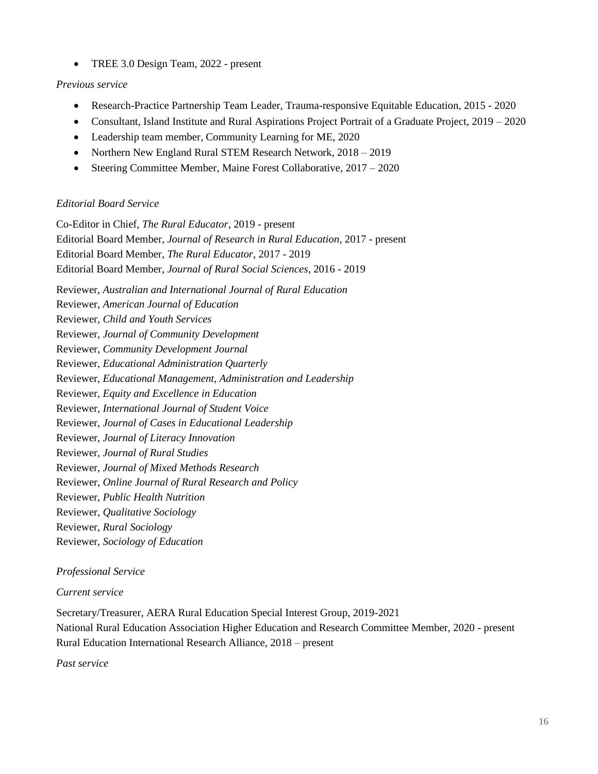• TREE 3.0 Design Team, 2022 - present

#### *Previous service*

- Research-Practice Partnership Team Leader, Trauma-responsive Equitable Education, 2015 2020
- Consultant, Island Institute and Rural Aspirations Project Portrait of a Graduate Project, 2019 2020
- Leadership team member, Community Learning for ME, 2020
- Northern New England Rural STEM Research Network,  $2018 2019$
- Steering Committee Member, Maine Forest Collaborative, 2017 2020

## *Editorial Board Service*

Co-Editor in Chief, *The Rural Educator*, 2019 - present Editorial Board Member, *Journal of Research in Rural Education*, 2017 - present Editorial Board Member, *The Rural Educator*, 2017 - 2019 Editorial Board Member, *Journal of Rural Social Sciences,* 2016 - 2019

Reviewer, *Australian and International Journal of Rural Education* Reviewer, *American Journal of Education*

Reviewer, *Child and Youth Services* Reviewer, *Journal of Community Development*

Reviewer, *Community Development Journal* 

Reviewer, *Educational Administration Quarterly*

Reviewer, *Educational Management, Administration and Leadership*

Reviewer, *Equity and Excellence in Education*

Reviewer, *International Journal of Student Voice*

Reviewer, *Journal of Cases in Educational Leadership*

Reviewer, *Journal of Literacy Innovation*

Reviewer, *Journal of Rural Studies*

Reviewer, *Journal of Mixed Methods Research*

Reviewer, *Online Journal of Rural Research and Policy*

Reviewer, *Public Health Nutrition* 

Reviewer, *Qualitative Sociology*

Reviewer, *Rural Sociology*

Reviewer, *Sociology of Education*

## *Professional Service*

#### *Current service*

Secretary/Treasurer, AERA Rural Education Special Interest Group, 2019-2021 National Rural Education Association Higher Education and Research Committee Member, 2020 - present Rural Education International Research Alliance, 2018 – present

*Past service*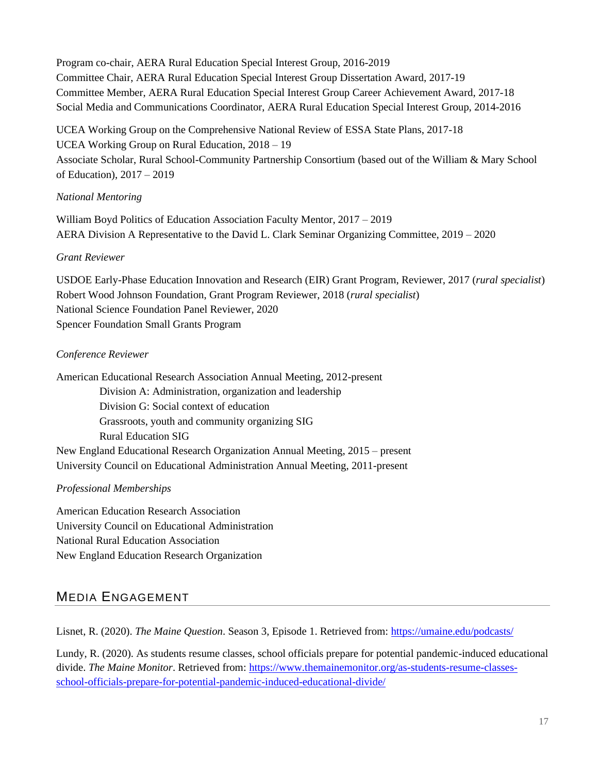Program co-chair, AERA Rural Education Special Interest Group, 2016-2019 Committee Chair, AERA Rural Education Special Interest Group Dissertation Award, 2017-19 Committee Member, AERA Rural Education Special Interest Group Career Achievement Award, 2017-18 Social Media and Communications Coordinator, AERA Rural Education Special Interest Group, 2014-2016

UCEA Working Group on the Comprehensive National Review of ESSA State Plans, 2017-18 UCEA Working Group on Rural Education, 2018 – 19 Associate Scholar, Rural School-Community Partnership Consortium (based out of the William & Mary School of Education), 2017 – 2019

## *National Mentoring*

William Boyd Politics of Education Association Faculty Mentor, 2017 – 2019 AERA Division A Representative to the David L. Clark Seminar Organizing Committee, 2019 – 2020

#### *Grant Reviewer*

USDOE Early-Phase Education Innovation and Research (EIR) Grant Program, Reviewer, 2017 (*rural specialist*) Robert Wood Johnson Foundation, Grant Program Reviewer, 2018 (*rural specialist*) National Science Foundation Panel Reviewer, 2020 Spencer Foundation Small Grants Program

## *Conference Reviewer*

American Educational Research Association Annual Meeting, 2012-present Division A: Administration, organization and leadership Division G: Social context of education Grassroots, youth and community organizing SIG Rural Education SIG New England Educational Research Organization Annual Meeting, 2015 – present University Council on Educational Administration Annual Meeting, 2011-present

## *Professional Memberships*

American Education Research Association University Council on Educational Administration National Rural Education Association New England Education Research Organization

# MEDIA ENGAGEMENT

Lisnet, R. (2020). *The Maine Question*. Season 3, Episode 1. Retrieved from:<https://umaine.edu/podcasts/>

Lundy, R. (2020). As students resume classes, school officials prepare for potential pandemic-induced educational divide. *The Maine Monitor*. Retrieved from: [https://www.themainemonitor.org/as-students-resume-classes](https://www.themainemonitor.org/as-students-resume-classes-school-officials-prepare-for-potential-pandemic-induced-educational-divide/)[school-officials-prepare-for-potential-pandemic-induced-educational-divide/](https://www.themainemonitor.org/as-students-resume-classes-school-officials-prepare-for-potential-pandemic-induced-educational-divide/)